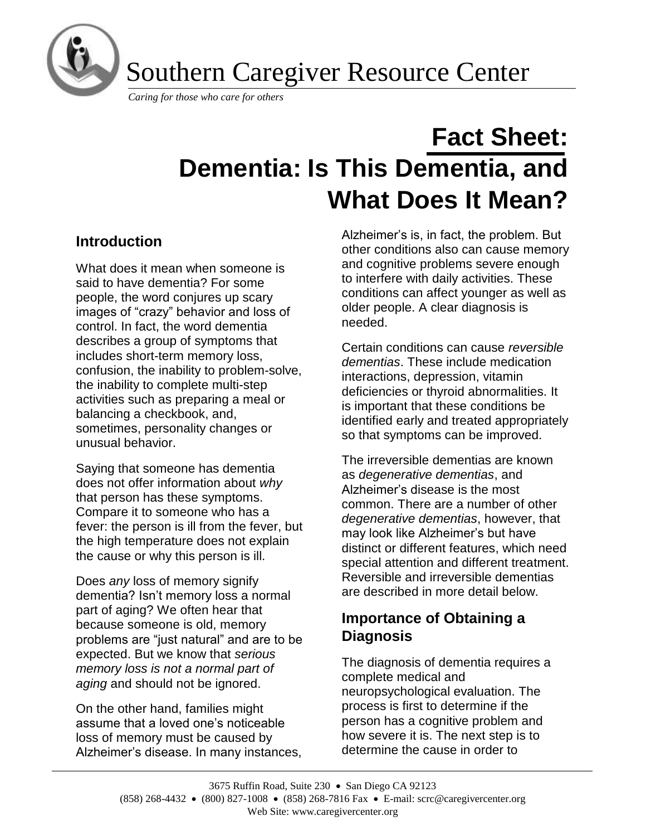

Southern Caregiver Resource Center

*Caring for those who care for others*

# **Fact Sheet: Dementia: Is This Dementia, and What Does It Mean?**

# **Introduction**

What does it mean when someone is said to have dementia? For some people, the word conjures up scary images of "crazy" behavior and loss of control. In fact, the word dementia describes a group of symptoms that includes short-term memory loss, confusion, the inability to problem-solve, the inability to complete multi-step activities such as preparing a meal or balancing a checkbook, and, sometimes, personality changes or unusual behavior.

Saying that someone has dementia does not offer information about *why* that person has these symptoms. Compare it to someone who has a fever: the person is ill from the fever, but the high temperature does not explain the cause or why this person is ill.

Does *any* loss of memory signify dementia? Isn't memory loss a normal part of aging? We often hear that because someone is old, memory problems are "just natural" and are to be expected. But we know that *serious memory loss is not a normal part of aging* and should not be ignored.

On the other hand, families might assume that a loved one's noticeable loss of memory must be caused by Alzheimer's disease. In many instances, Alzheimer's is, in fact, the problem. But other conditions also can cause memory and cognitive problems severe enough to interfere with daily activities. These conditions can affect younger as well as older people. A clear diagnosis is needed.

Certain conditions can cause *reversible dementias*. These include medication interactions, depression, vitamin deficiencies or thyroid abnormalities. It is important that these conditions be identified early and treated appropriately so that symptoms can be improved.

The irreversible dementias are known as *degenerative dementias*, and Alzheimer's disease is the most common. There are a number of other *degenerative dementias*, however, that may look like Alzheimer's but have distinct or different features, which need special attention and different treatment. Reversible and irreversible dementias are described in more detail below.

## **Importance of Obtaining a Diagnosis**

The diagnosis of dementia requires a complete medical and neuropsychological evaluation. The process is first to determine if the person has a cognitive problem and how severe it is. The next step is to determine the cause in order to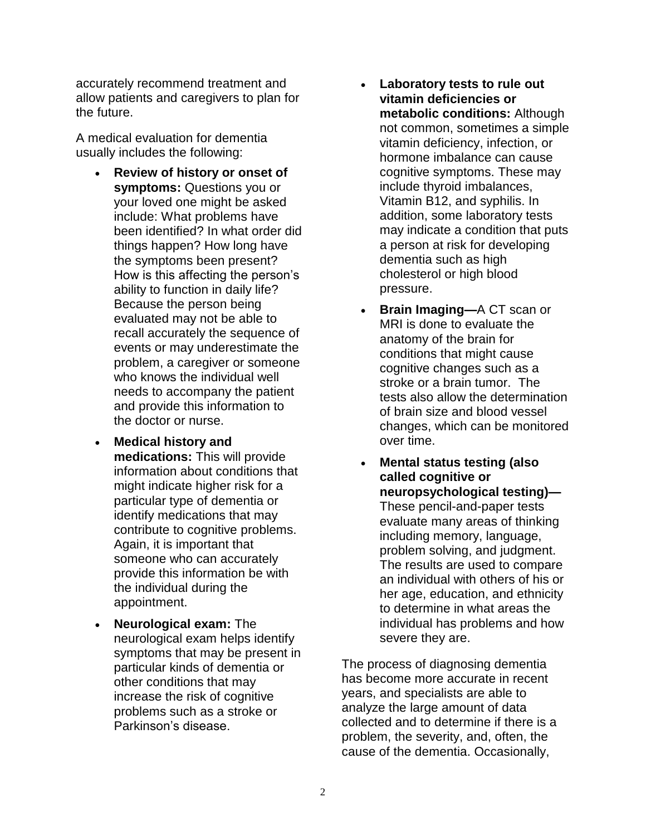accurately recommend treatment and allow patients and caregivers to plan for the future.

A medical evaluation for dementia usually includes the following:

- **Review of history or onset of symptoms:** Questions you or your loved one might be asked include: What problems have been identified? In what order did things happen? How long have the symptoms been present? How is this affecting the person's ability to function in daily life? Because the person being evaluated may not be able to recall accurately the sequence of events or may underestimate the problem, a caregiver or someone who knows the individual well needs to accompany the patient and provide this information to the doctor or nurse.
- **Medical history and medications:** This will provide information about conditions that might indicate higher risk for a particular type of dementia or identify medications that may contribute to cognitive problems. Again, it is important that someone who can accurately provide this information be with the individual during the appointment.
- **Neurological exam:** The neurological exam helps identify symptoms that may be present in particular kinds of dementia or other conditions that may increase the risk of cognitive problems such as a stroke or Parkinson's disease.
- **Laboratory tests to rule out vitamin deficiencies or metabolic conditions:** Although not common, sometimes a simple vitamin deficiency, infection, or hormone imbalance can cause cognitive symptoms. These may include thyroid imbalances, Vitamin B12, and syphilis. In addition, some laboratory tests may indicate a condition that puts a person at risk for developing dementia such as high cholesterol or high blood pressure.
- **Brain Imaging—A CT scan or** MRI is done to evaluate the anatomy of the brain for conditions that might cause cognitive changes such as a stroke or a brain tumor. The tests also allow the determination of brain size and blood vessel changes, which can be monitored over time.
- **Mental status testing (also called cognitive or neuropsychological testing)—** These pencil-and-paper tests evaluate many areas of thinking including memory, language, problem solving, and judgment. The results are used to compare an individual with others of his or her age, education, and ethnicity to determine in what areas the individual has problems and how severe they are.

The process of diagnosing dementia has become more accurate in recent years, and specialists are able to analyze the large amount of data collected and to determine if there is a problem, the severity, and, often, the cause of the dementia. Occasionally,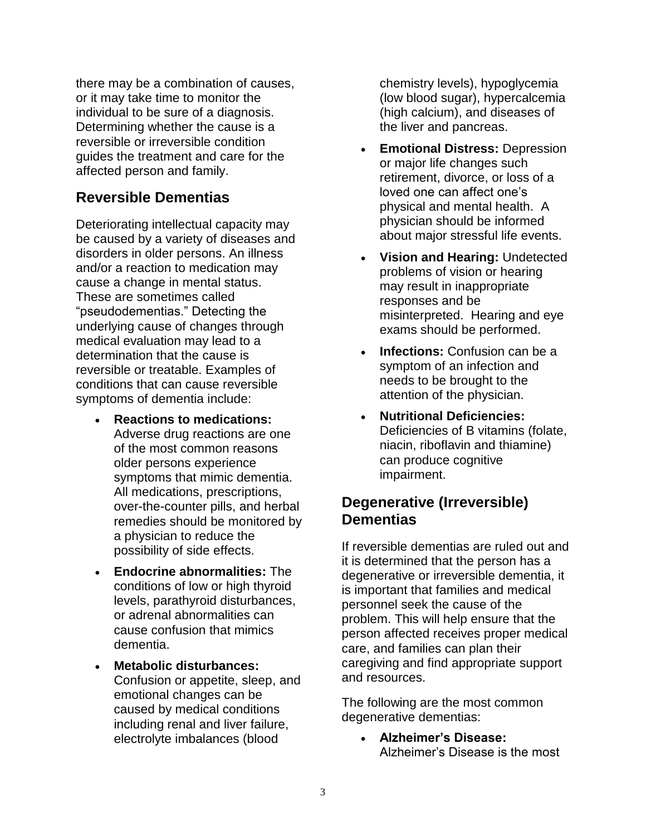there may be a combination of causes, or it may take time to monitor the individual to be sure of a diagnosis. Determining whether the cause is a reversible or irreversible condition guides the treatment and care for the affected person and family.

#### **Reversible Dementias**

Deteriorating intellectual capacity may be caused by a variety of diseases and disorders in older persons. An illness and/or a reaction to medication may cause a change in mental status. These are sometimes called "pseudodementias." Detecting the underlying cause of changes through medical evaluation may lead to a determination that the cause is reversible or treatable. Examples of conditions that can cause reversible symptoms of dementia include:

- **Reactions to medications:**  Adverse drug reactions are one of the most common reasons older persons experience symptoms that mimic dementia. All medications, prescriptions, over-the-counter pills, and herbal remedies should be monitored by a physician to reduce the possibility of side effects.
- **Endocrine abnormalities:** The conditions of low or high thyroid levels, parathyroid disturbances, or adrenal abnormalities can cause confusion that mimics dementia.
- **Metabolic disturbances:**  Confusion or appetite, sleep, and emotional changes can be caused by medical conditions including renal and liver failure, electrolyte imbalances (blood

chemistry levels), hypoglycemia (low blood sugar), hypercalcemia (high calcium), and diseases of the liver and pancreas.

- **Emotional Distress:** Depression or major life changes such retirement, divorce, or loss of a loved one can affect one's physical and mental health. A physician should be informed about major stressful life events.
- **Vision and Hearing:** Undetected problems of vision or hearing may result in inappropriate responses and be misinterpreted. Hearing and eye exams should be performed.
- **Infections:** Confusion can be a symptom of an infection and needs to be brought to the attention of the physician.
- **Nutritional Deficiencies:**  Deficiencies of B vitamins (folate, niacin, riboflavin and thiamine) can produce cognitive impairment.

#### **Degenerative (Irreversible) Dementias**

If reversible dementias are ruled out and it is determined that the person has a degenerative or irreversible dementia, it is important that families and medical personnel seek the cause of the problem. This will help ensure that the person affected receives proper medical care, and families can plan their caregiving and find appropriate support and resources.

The following are the most common degenerative dementias:

> • **Alzheimer's Disease:**  Alzheimer's Disease is the most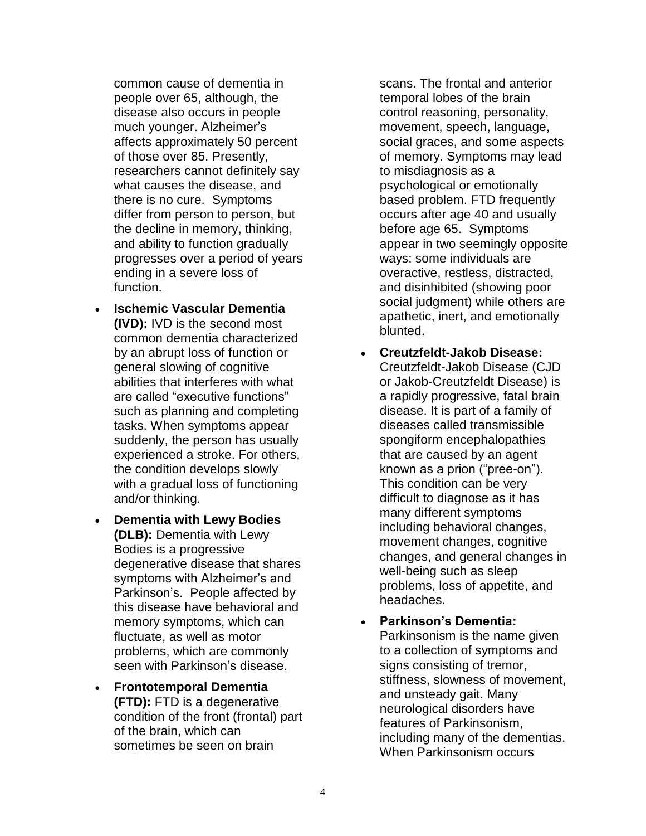common cause of dementia in people over 65, although, the disease also occurs in people much younger. Alzheimer's affects approximately 50 percent of those over 85. Presently, researchers cannot definitely say what causes the disease, and there is no cure. Symptoms differ from person to person, but the decline in memory, thinking, and ability to function gradually progresses over a period of years ending in a severe loss of function.

- **Ischemic Vascular Dementia (IVD):** IVD is the second most common dementia characterized by an abrupt loss of function or general slowing of cognitive abilities that interferes with what are called "executive functions" such as planning and completing tasks. When symptoms appear suddenly, the person has usually experienced a stroke. For others, the condition develops slowly with a gradual loss of functioning and/or thinking.
- **Dementia with Lewy Bodies (DLB):** Dementia with Lewy Bodies is a progressive degenerative disease that shares symptoms with Alzheimer's and Parkinson's. People affected by this disease have behavioral and memory symptoms, which can fluctuate, as well as motor problems, which are commonly seen with Parkinson's disease.
- **Frontotemporal Dementia (FTD):** FTD is a degenerative condition of the front (frontal) part of the brain, which can sometimes be seen on brain

scans. The frontal and anterior temporal lobes of the brain control reasoning, personality, movement, speech, language, social graces, and some aspects of memory. Symptoms may lead to misdiagnosis as a psychological or emotionally based problem. FTD frequently occurs after age 40 and usually before age 65. Symptoms appear in two seemingly opposite ways: some individuals are overactive, restless, distracted, and disinhibited (showing poor social judgment) while others are apathetic, inert, and emotionally blunted.

- **Creutzfeldt-Jakob Disease:**  Creutzfeldt-Jakob Disease (CJD or Jakob-Creutzfeldt Disease) is a rapidly progressive, fatal brain disease. It is part of a family of diseases called transmissible spongiform encephalopathies that are caused by an agent known as a prion ("pree-on"). This condition can be very difficult to diagnose as it has many different symptoms including behavioral changes, movement changes, cognitive changes, and general changes in well-being such as sleep problems, loss of appetite, and headaches.
- **Parkinson's Dementia:**  Parkinsonism is the name given to a collection of symptoms and signs consisting of tremor, stiffness, slowness of movement, and unsteady gait. Many neurological disorders have features of Parkinsonism, including many of the dementias. When Parkinsonism occurs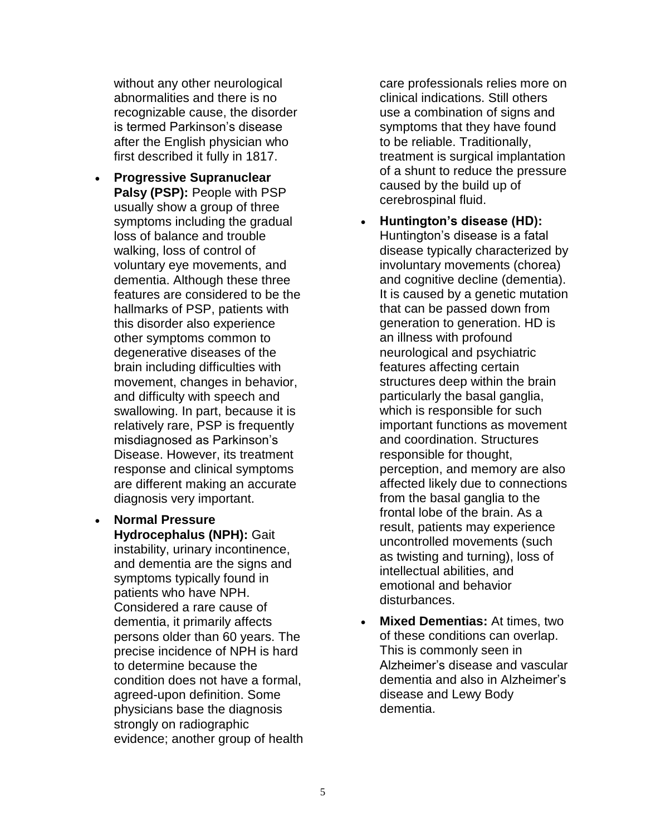without any other neurological abnormalities and there is no recognizable cause, the disorder is termed Parkinson's disease after the English physician who first described it fully in 1817.

- **Progressive Supranuclear Palsy (PSP):** People with PSP usually show a group of three symptoms including the gradual loss of balance and trouble walking, loss of control of voluntary eye movements, and dementia. Although these three features are considered to be the hallmarks of PSP, patients with this disorder also experience other symptoms common to degenerative diseases of the brain including difficulties with movement, changes in behavior, and difficulty with speech and swallowing. In part, because it is relatively rare, PSP is frequently misdiagnosed as Parkinson's Disease. However, its treatment response and clinical symptoms are different making an accurate diagnosis very important.
- **Normal Pressure Hydrocephalus (NPH):** Gait instability, urinary incontinence, and dementia are the signs and symptoms typically found in patients who have NPH. Considered a rare cause of dementia, it primarily affects persons older than 60 years. The precise incidence of NPH is hard to determine because the condition does not have a formal, agreed-upon definition. Some physicians base the diagnosis strongly on radiographic evidence; another group of health

care professionals relies more on clinical indications. Still others use a combination of signs and symptoms that they have found to be reliable. Traditionally, treatment is surgical implantation of a shunt to reduce the pressure caused by the build up of cerebrospinal fluid.

- **Huntington's disease (HD):**  Huntington's disease is a fatal disease typically characterized by involuntary movements (chorea) and cognitive decline (dementia). It is caused by a genetic mutation that can be passed down from generation to generation. HD is an illness with profound neurological and psychiatric features affecting certain structures deep within the brain particularly the basal ganglia, which is responsible for such important functions as movement and coordination. Structures responsible for thought, perception, and memory are also affected likely due to connections from the basal ganglia to the frontal lobe of the brain. As a result, patients may experience uncontrolled movements (such as twisting and turning), loss of intellectual abilities, and emotional and behavior disturbances.
- **Mixed Dementias:** At times, two of these conditions can overlap. This is commonly seen in Alzheimer's disease and vascular dementia and also in Alzheimer's disease and Lewy Body dementia.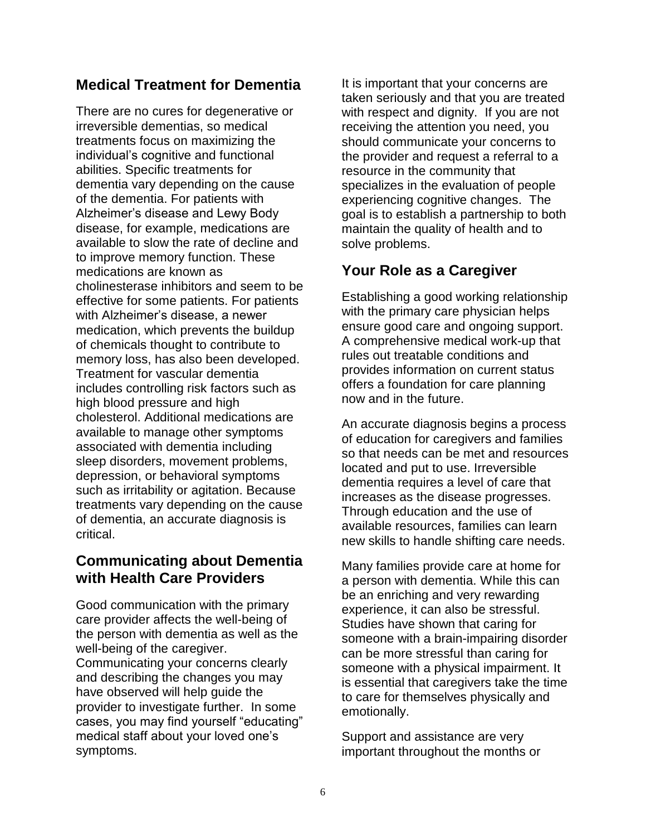## **Medical Treatment for Dementia**

There are no cures for degenerative or irreversible dementias, so medical treatments focus on maximizing the individual's cognitive and functional abilities. Specific treatments for dementia vary depending on the cause of the dementia. For patients with Alzheimer's disease and Lewy Body disease, for example, medications are available to slow the rate of decline and to improve memory function. These medications are known as cholinesterase inhibitors and seem to be effective for some patients. For patients with Alzheimer's disease, a newer medication, which prevents the buildup of chemicals thought to contribute to memory loss, has also been developed. Treatment for vascular dementia includes controlling risk factors such as high blood pressure and high cholesterol. Additional medications are available to manage other symptoms associated with dementia including sleep disorders, movement problems, depression, or behavioral symptoms such as irritability or agitation. Because treatments vary depending on the cause of dementia, an accurate diagnosis is critical.

## **Communicating about Dementia with Health Care Providers**

Good communication with the primary care provider affects the well-being of the person with dementia as well as the well-being of the caregiver. Communicating your concerns clearly and describing the changes you may have observed will help guide the provider to investigate further. In some cases, you may find yourself "educating" medical staff about your loved one's symptoms.

It is important that your concerns are taken seriously and that you are treated with respect and dignity. If you are not receiving the attention you need, you should communicate your concerns to the provider and request a referral to a resource in the community that specializes in the evaluation of people experiencing cognitive changes. The goal is to establish a partnership to both maintain the quality of health and to solve problems.

## **Your Role as a Caregiver**

Establishing a good working relationship with the primary care physician helps ensure good care and ongoing support. A comprehensive medical work-up that rules out treatable conditions and provides information on current status offers a foundation for care planning now and in the future.

An accurate diagnosis begins a process of education for caregivers and families so that needs can be met and resources located and put to use. Irreversible dementia requires a level of care that increases as the disease progresses. Through education and the use of available resources, families can learn new skills to handle shifting care needs.

Many families provide care at home for a person with dementia. While this can be an enriching and very rewarding experience, it can also be stressful. Studies have shown that caring for someone with a brain-impairing disorder can be more stressful than caring for someone with a physical impairment. It is essential that caregivers take the time to care for themselves physically and emotionally.

Support and assistance are very important throughout the months or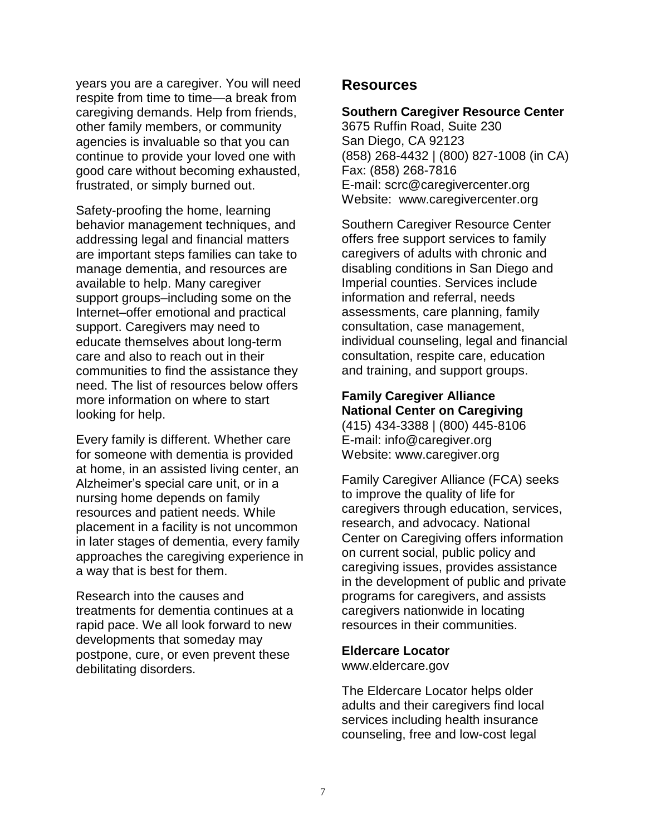years you are a caregiver. You will need respite from time to time—a break from caregiving demands. Help from friends, other family members, or community agencies is invaluable so that you can continue to provide your loved one with good care without becoming exhausted, frustrated, or simply burned out.

Safety-proofing the home, learning behavior management techniques, and addressing legal and financial matters are important steps families can take to manage dementia, and resources are available to help. Many caregiver support groups–including some on the Internet–offer emotional and practical support. Caregivers may need to educate themselves about long-term care and also to reach out in their communities to find the assistance they need. The list of resources below offers more information on where to start looking for help.

Every family is different. Whether care for someone with dementia is provided at home, in an assisted living center, an Alzheimer's special care unit, or in a nursing home depends on family resources and patient needs. While placement in a facility is not uncommon in later stages of dementia, every family approaches the caregiving experience in a way that is best for them.

Research into the causes and treatments for dementia continues at a rapid pace. We all look forward to new developments that someday may postpone, cure, or even prevent these debilitating disorders.

#### **Resources**

#### **Southern Caregiver Resource Center**

3675 Ruffin Road, Suite 230 San Diego, CA 92123 (858) 268-4432 | (800) 827-1008 (in CA) Fax: (858) 268-7816 E-mail: [scrc@caregivercenter.org](mailto:scrc@caregivercenter.org) Website: www.caregivercenter.org

Southern Caregiver Resource Center offers free support services to family caregivers of adults with chronic and disabling conditions in San Diego and Imperial counties. Services include information and referral, needs assessments, care planning, family consultation, case management, individual counseling, legal and financial consultation, respite care, education and training, and support groups.

#### **Family Caregiver Alliance National Center on Caregiving**

(415) 434-3388 | (800) 445-8106 E-mail: [info@caregiver.org](mailto:info@caregiver.org) Website: www.caregiver.org

Family Caregiver Alliance (FCA) seeks to improve the quality of life for caregivers through education, services, research, and advocacy. National Center on Caregiving offers information on current social, public policy and caregiving issues, provides assistance in the development of public and private programs for caregivers, and assists caregivers nationwide in locating resources in their communities.

#### **Eldercare Locator**

www.eldercare.gov

The Eldercare Locator helps older adults and their caregivers find local services including health insurance counseling, free and low-cost legal